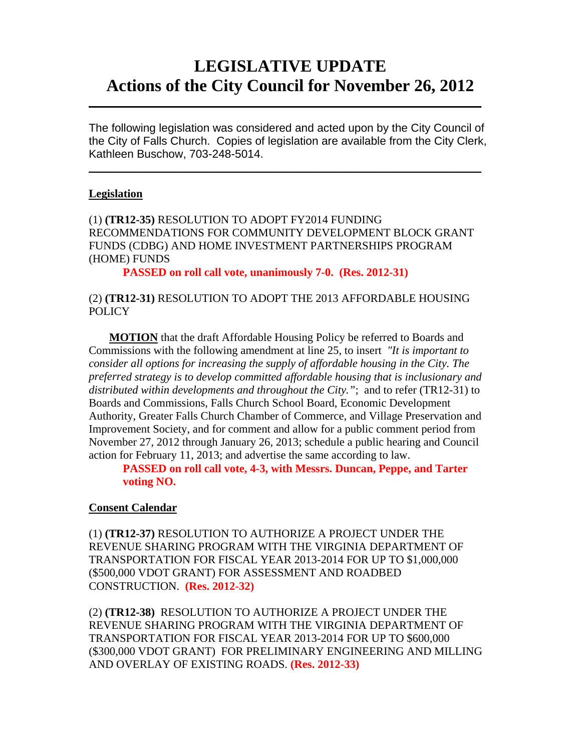# **LEGISLATIVE UPDATE Actions of the City Council for November 26, 2012**

The following legislation was considered and acted upon by the City Council of the City of Falls Church. Copies of legislation are available from the City Clerk, Kathleen Buschow, 703-248-5014.

 $\mathcal{L}_\text{max} = \mathcal{L}_\text{max} = \mathcal{L}_\text{max} = \mathcal{L}_\text{max} = \mathcal{L}_\text{max} = \mathcal{L}_\text{max} = \mathcal{L}_\text{max} = \mathcal{L}_\text{max} = \mathcal{L}_\text{max} = \mathcal{L}_\text{max} = \mathcal{L}_\text{max} = \mathcal{L}_\text{max} = \mathcal{L}_\text{max} = \mathcal{L}_\text{max} = \mathcal{L}_\text{max} = \mathcal{L}_\text{max} = \mathcal{L}_\text{max} = \mathcal{L}_\text{max} = \mathcal{$ 

 $\mathcal{L}_\text{max} = \mathcal{L}_\text{max} = \mathcal{L}_\text{max} = \mathcal{L}_\text{max} = \mathcal{L}_\text{max} = \mathcal{L}_\text{max} = \mathcal{L}_\text{max} = \mathcal{L}_\text{max} = \mathcal{L}_\text{max} = \mathcal{L}_\text{max} = \mathcal{L}_\text{max} = \mathcal{L}_\text{max} = \mathcal{L}_\text{max} = \mathcal{L}_\text{max} = \mathcal{L}_\text{max} = \mathcal{L}_\text{max} = \mathcal{L}_\text{max} = \mathcal{L}_\text{max} = \mathcal{$ 

#### **Legislation**

(1) **(TR12-35)** RESOLUTION TO ADOPT FY2014 FUNDING RECOMMENDATIONS FOR COMMUNITY DEVELOPMENT BLOCK GRANT FUNDS (CDBG) AND HOME INVESTMENT PARTNERSHIPS PROGRAM (HOME) FUNDS

**PASSED on roll call vote, unanimously 7-0. (Res. 2012-31)** 

#### (2) **(TR12-31)** RESOLUTION TO ADOPT THE 2013 AFFORDABLE HOUSING **POLICY**

**MOTION** that the draft Affordable Housing Policy be referred to Boards and Commissions with the following amendment at line 25, to insert *"It is important to consider all options for increasing the supply of affordable housing in the City. The preferred strategy is to develop committed affordable housing that is inclusionary and distributed within developments and throughout the City."*; and to refer (TR12-31) to Boards and Commissions, Falls Church School Board, Economic Development Authority, Greater Falls Church Chamber of Commerce, and Village Preservation and Improvement Society, and for comment and allow for a public comment period from November 27, 2012 through January 26, 2013; schedule a public hearing and Council action for February 11, 2013; and advertise the same according to law.

**PASSED on roll call vote, 4-3, with Messrs. Duncan, Peppe, and Tarter voting NO.** 

#### **Consent Calendar**

(1) **(TR12-37)** RESOLUTION TO AUTHORIZE A PROJECT UNDER THE REVENUE SHARING PROGRAM WITH THE VIRGINIA DEPARTMENT OF TRANSPORTATION FOR FISCAL YEAR 2013-2014 FOR UP TO \$1,000,000 (\$500,000 VDOT GRANT) FOR ASSESSMENT AND ROADBED CONSTRUCTION. **(Res. 2012-32)**

(2) **(TR12-38)** RESOLUTION TO AUTHORIZE A PROJECT UNDER THE REVENUE SHARING PROGRAM WITH THE VIRGINIA DEPARTMENT OF TRANSPORTATION FOR FISCAL YEAR 2013-2014 FOR UP TO \$600,000 (\$300,000 VDOT GRANT) FOR PRELIMINARY ENGINEERING AND MILLING AND OVERLAY OF EXISTING ROADS. **(Res. 2012-33)**